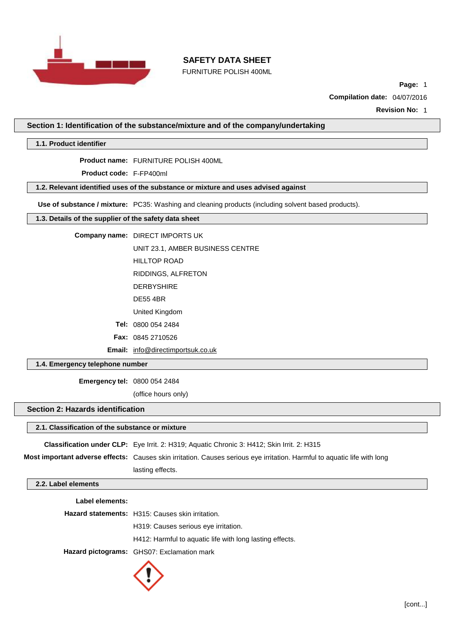

FURNITURE POLISH 400ML

**Page:** 1

**Compilation date:** 04/07/2016

**Revision No:** 1

**Section 1: Identification of the substance/mixture and of the company/undertaking**

**1.1. Product identifier**

**Product name:** FURNITURE POLISH 400ML

**Product code:** F-FP400ml

# **1.2. Relevant identified uses of the substance or mixture and uses advised against**

**Use of substance / mixture:** PC35: Washing and cleaning products (including solvent based products).

## **1.3. Details of the supplier of the safety data sheet**

**Company name:** DIRECT IMPORTS UK

UNIT 23.1, AMBER BUSINESS CENTRE

HILLTOP ROAD

RIDDINGS, ALFRETON

- DERBYSHIRE
- DE55 4BR

United Kingdom

**Tel:** 0800 054 2484

**Fax:** 0845 2710526

**Email:** [info@directimportsuk.co.uk](mailto:info@directimportsuk.co.uk)

**1.4. Emergency telephone number**

**Emergency tel:** 0800 054 2484

(office hours only)

## **Section 2: Hazards identification**

### **2.1. Classification of the substance or mixture**

**Classification under CLP:** Eye Irrit. 2: H319; Aquatic Chronic 3: H412; Skin Irrit. 2: H315

**Most important adverse effects:** Causes skin irritation. Causes serious eye irritation. Harmful to aquatic life with long lasting effects.

## **2.2. Label elements**

| Label elements: |                                                          |
|-----------------|----------------------------------------------------------|
|                 | <b>Hazard statements:</b> H315: Causes skin irritation.  |
|                 | H319: Causes serious eve irritation.                     |
|                 | H412: Harmful to aquatic life with long lasting effects. |
|                 | Hazard pictograms: GHS07: Exclamation mark               |
|                 |                                                          |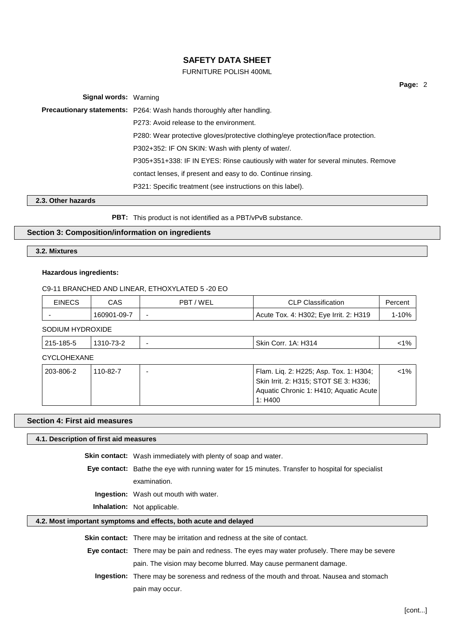## FURNITURE POLISH 400ML

**Page:** 2

**Signal words:** Warning **Precautionary statements:** P264: Wash hands thoroughly after handling. P273: Avoid release to the environment. P280: Wear protective gloves/protective clothing/eye protection/face protection. P302+352: IF ON SKIN: Wash with plenty of water/. P305+351+338: IF IN EYES: Rinse cautiously with water for several minutes. Remove contact lenses, if present and easy to do. Continue rinsing. P321: Specific treatment (see instructions on this label).

## **2.3. Other hazards**

**PBT:** This product is not identified as a PBT/vPvB substance.

## **Section 3: Composition/information on ingredients**

**3.2. Mixtures**

## **Hazardous ingredients:**

C9-11 BRANCHED AND LINEAR, ETHOXYLATED 5 -20 EO

| <b>EINECS</b> | CAS         | 7 WEL<br><b>PBT</b>      | <b>CLP Classification</b>              | ercent <sup>'</sup> |
|---------------|-------------|--------------------------|----------------------------------------|---------------------|
| -             | 160901-09-7 | $\overline{\phantom{0}}$ | Acute Tox. 4: H302; Eye Irrit. 2: H319 | 1-10%               |
|               |             |                          |                                        |                     |

SODIUM HYDROXIDE

| ، ۱۵<br>ີ<br>:∩ri<br>ΊΑ.<br>- 14<br>7ο<br>. .<br>`<br>--<br><u>ък</u><br>.<br>$\sim$<br>___ |
|---------------------------------------------------------------------------------------------|
|---------------------------------------------------------------------------------------------|

CYCLOHEXANE

| 203-806-2 ' | 110-82-7 | Flam. Lig. 2: H225; Asp. Tox. 1: H304; | $1\%$ |
|-------------|----------|----------------------------------------|-------|
|             |          | Skin Irrit. 2: H315; STOT SE 3: H336;  |       |
|             |          | Aquatic Chronic 1: H410; Aquatic Acute |       |
|             |          | 1: $H400$                              |       |

### **Section 4: First aid measures**

**4.1. Description of first aid measures**

**Skin contact:** Wash immediately with plenty of soap and water.

**Eye contact:** Bathe the eye with running water for 15 minutes. Transfer to hospital for specialist examination.

**Ingestion:** Wash out mouth with water.

**Inhalation:** Not applicable.

## **4.2. Most important symptoms and effects, both acute and delayed**

**Skin contact:** There may be irritation and redness at the site of contact.

**Eye contact:** There may be pain and redness. The eyes may water profusely. There may be severe pain. The vision may become blurred. May cause permanent damage.

**Ingestion:** There may be soreness and redness of the mouth and throat. Nausea and stomach pain may occur.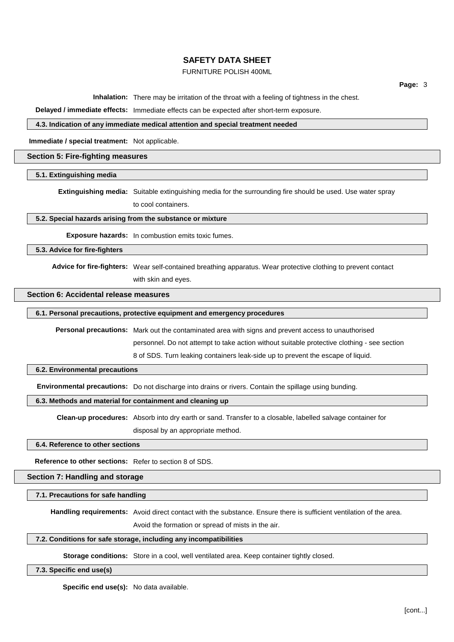# FURNITURE POLISH 400ML

**Page:** 3

**Inhalation:** There may be irritation of the throat with a feeling of tightness in the chest.

**Delayed / immediate effects:** Immediate effects can be expected after short-term exposure.

## **4.3. Indication of any immediate medical attention and special treatment needed**

**Immediate / special treatment:** Not applicable.

### **Section 5: Fire-fighting measures**

#### **5.1. Extinguishing media**

**Extinguishing media:** Suitable extinguishing media for the surrounding fire should be used. Use water spray to cool containers.

## **5.2. Special hazards arising from the substance or mixture**

**Exposure hazards:** In combustion emits toxic fumes.

**5.3. Advice for fire-fighters**

**Advice for fire-fighters:** Wear self-contained breathing apparatus. Wear protective clothing to prevent contact with skin and eyes.

## **Section 6: Accidental release measures**

## **6.1. Personal precautions, protective equipment and emergency procedures**

**Personal precautions:** Mark out the contaminated area with signs and prevent access to unauthorised

personnel. Do not attempt to take action without suitable protective clothing - see section

8 of SDS. Turn leaking containers leak-side up to prevent the escape of liquid.

#### **6.2. Environmental precautions**

**Environmental precautions:** Do not discharge into drains or rivers. Contain the spillage using bunding.

**6.3. Methods and material for containment and cleaning up**

**Clean-up procedures:** Absorb into dry earth or sand. Transfer to a closable, labelled salvage container for disposal by an appropriate method.

#### **6.4. Reference to other sections**

**Reference to other sections:** Refer to section 8 of SDS.

**Section 7: Handling and storage**

**7.1. Precautions for safe handling**

**Handling requirements:** Avoid direct contact with the substance. Ensure there is sufficient ventilation of the area.

Avoid the formation or spread of mists in the air.

## **7.2. Conditions for safe storage, including any incompatibilities**

**Storage conditions:** Store in a cool, well ventilated area. Keep container tightly closed.

**7.3. Specific end use(s)**

**Specific end use(s):** No data available.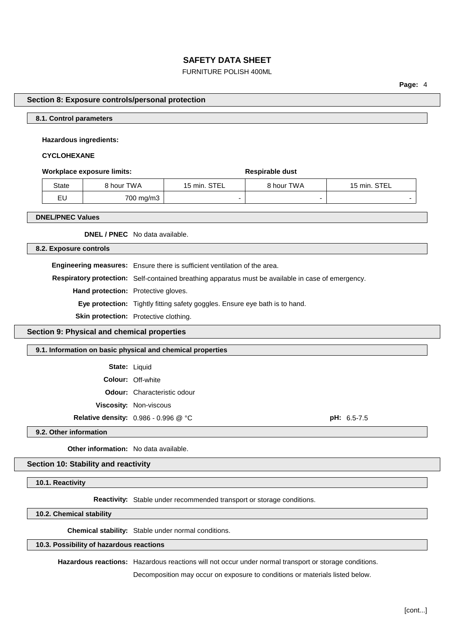# FURNITURE POLISH 400ML

**Page:** 4

### **Section 8: Exposure controls/personal protection**

## **8.1. Control parameters**

### **Hazardous ingredients:**

## **CYCLOHEXANE**

#### **Workplace** exposure limits: **Respirable** dust

| State | 8 hour TWA | 15 min. STEL | 8 hour TWA | 15 min. STEL |
|-------|------------|--------------|------------|--------------|
| EU    | 700 mg/m3  |              |            |              |

#### **DNEL/PNEC Values**

**DNEL / PNEC** No data available.

**8.2. Exposure controls**

**Engineering measures:** Ensure there is sufficient ventilation of the area.

**Respiratory protection:** Self-contained breathing apparatus must be available in case of emergency.

**Hand protection:** Protective gloves.

**Eye protection:** Tightly fitting safety goggles. Ensure eye bath is to hand.

**Skin protection:** Protective clothing.

**Section 9: Physical and chemical properties**

#### **9.1. Information on basic physical and chemical properties**

**State:** Liquid

**Colour:** Off-white

**Odour:** Characteristic odour

**Viscosity:** Non-viscous

**Relative density:** 0.986 - 0.996 @ °C **pH:** 6.5-7.5

**9.2. Other information**

**Other information:** No data available.

**Section 10: Stability and reactivity**

**10.1. Reactivity**

**Reactivity:** Stable under recommended transport or storage conditions.

**10.2. Chemical stability**

**Chemical stability:** Stable under normal conditions.

## **10.3. Possibility of hazardous reactions**

**Hazardous reactions:** Hazardous reactions will not occur under normal transport or storage conditions.

Decomposition may occur on exposure to conditions or materials listed below.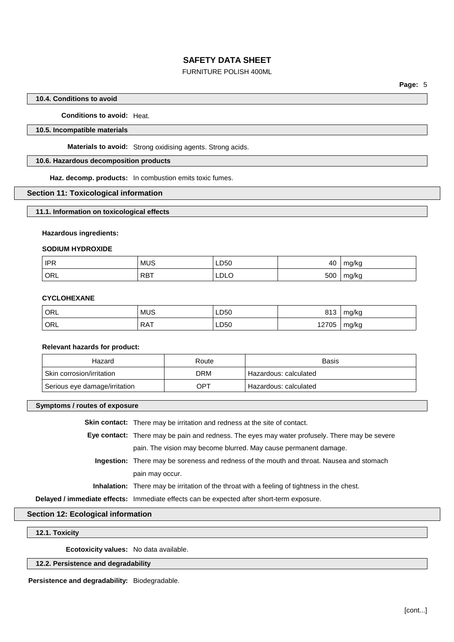## FURNITURE POLISH 400ML

### **10.4. Conditions to avoid**

**Conditions to avoid:** Heat.

### **10.5. Incompatible materials**

**Materials to avoid:** Strong oxidising agents. Strong acids.

### **10.6. Hazardous decomposition products**

**Haz. decomp. products:** In combustion emits toxic fumes.

### **Section 11: Toxicological information**

**11.1. Information on toxicological effects**

### **Hazardous ingredients:**

## **SODIUM HYDROXIDE**

| <b>IPR</b> | <b>MUS</b> | LD50 | 40  | ma/ka            |
|------------|------------|------|-----|------------------|
| ORL        | <b>RBT</b> | LDLO | 500 | mg/kg<br>$\cdot$ |

## **CYCLOHEXANE**

| ORL | <b>MUS</b> | LD50 | 813   | mg/kg |
|-----|------------|------|-------|-------|
| ORL | <b>RAT</b> | LD50 | 12705 | mg/kg |

### **Relevant hazards for product:**

| Hazard                        | Route | Basis                   |
|-------------------------------|-------|-------------------------|
| Skin corrosion/irritation     | DRM   | ' Hazardous: calculated |
| Serious eye damage/irritation | OPT   | Hazardous: calculated   |

**Symptoms / routes of exposure**

**Skin contact:** There may be irritation and redness at the site of contact.

**Eye contact:** There may be pain and redness. The eyes may water profusely. There may be severe pain. The vision may become blurred. May cause permanent damage.

**Ingestion:** There may be soreness and redness of the mouth and throat. Nausea and stomach pain may occur.

**Inhalation:** There may be irritation of the throat with a feeling of tightness in the chest.

**Delayed / immediate effects:** Immediate effects can be expected after short-term exposure.

## **Section 12: Ecological information**

**12.1. Toxicity**

**Ecotoxicity values:** No data available.

## **12.2. Persistence and degradability**

**Persistence and degradability:** Biodegradable.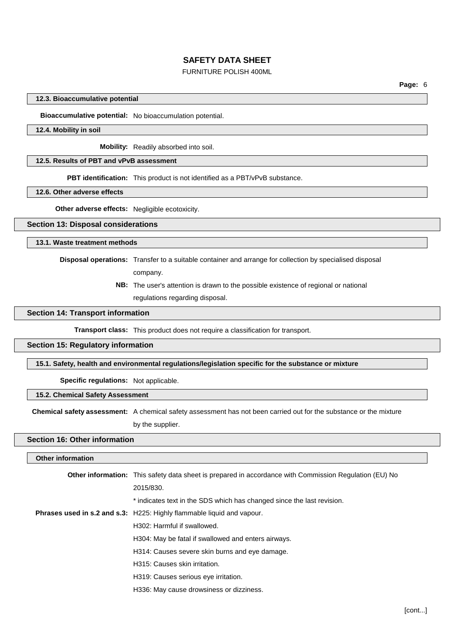## FURNITURE POLISH 400ML

### **12.3. Bioaccumulative potential**

**Bioaccumulative potential:** No bioaccumulation potential.

### **12.4. Mobility in soil**

**Mobility:** Readily absorbed into soil.

## **12.5. Results of PBT and vPvB assessment**

**PBT identification:** This product is not identified as a PBT/vPvB substance.

### **12.6. Other adverse effects**

**Other adverse effects:** Negligible ecotoxicity.

#### **Section 13: Disposal considerations**

## **13.1. Waste treatment methods**

**Disposal operations:** Transfer to a suitable container and arrange for collection by specialised disposal

company.

**NB:** The user's attention is drawn to the possible existence of regional or national

regulations regarding disposal.

## **Section 14: Transport information**

**Transport class:** This product does not require a classification for transport.

# **Section 15: Regulatory information**

## **15.1. Safety, health and environmental regulations/legislation specific for the substance or mixture**

**Specific regulations:** Not applicable.

### **15.2. Chemical Safety Assessment**

**Chemical safety assessment:** A chemical safety assessment has not been carried out for the substance or the mixture

by the supplier.

# **Section 16: Other information**

### **Other information**

| <b>Other information:</b> This safety data sheet is prepared in accordance with Commission Regulation (EU) No |
|---------------------------------------------------------------------------------------------------------------|
| 2015/830.                                                                                                     |
| * indicates text in the SDS which has changed since the last revision.                                        |
| Phrases used in s.2 and s.3: H225: Highly flammable liquid and vapour.                                        |
| H302: Harmful if swallowed.                                                                                   |
| H304: May be fatal if swallowed and enters airways.                                                           |
| H314: Causes severe skin burns and eye damage.                                                                |
| H315: Causes skin irritation.                                                                                 |
| H319: Causes serious eye irritation.                                                                          |
| H336: May cause drowsiness or dizziness.                                                                      |